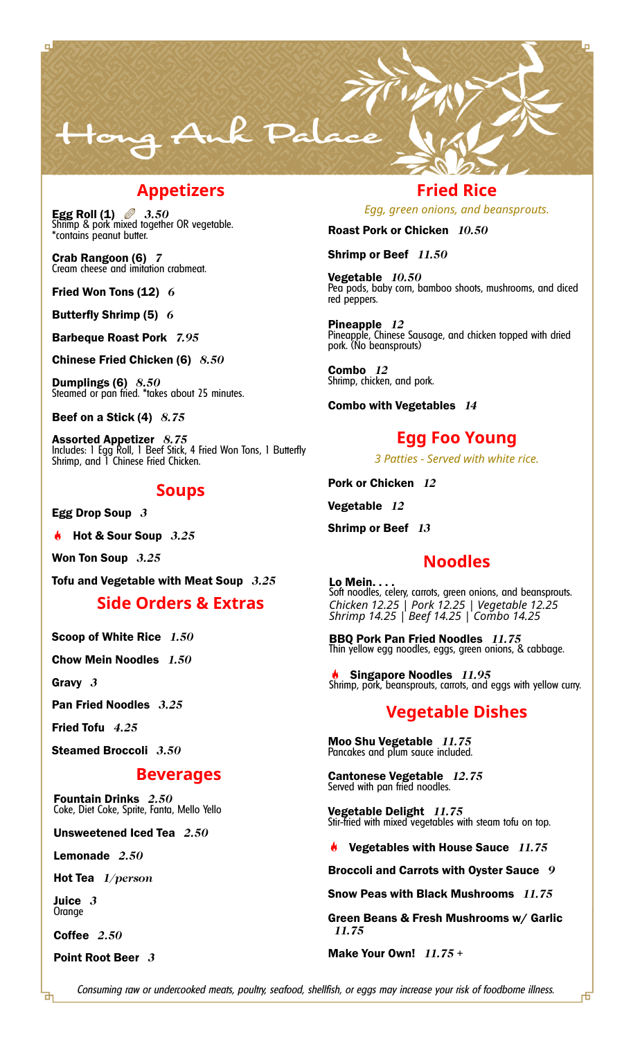

### **Appetizers**

**Egg Roll (1)** *3.50* Shrimp & pork mixed together OR vegetable. \*contains peanut butter.

**Crab Rangoon (6)** *7* Cream cheese and imitation crabmeat.

**Fried Won Tons (12)** *6*

**Butterfly Shrimp (5)** *6*

**Barbeque Roast Pork** *7.95*

**Chinese Fried Chicken (6)** *8.50*

**Dumplings (6)** *8.50* Steamed or pan fried. \*takes about 25 minutes.

**Beef on a Stick (4)** *8.75*

**Assorted Appetizer** *8.75* Includes: 1 Egg Roll, 1 Beef Stick, 4 Fried Won Tons, 1 Butterfly Shrimp, and 1 Chinese Fried Chicken.

### **Soups**

**Egg Drop Soup** *3*

**Hot & Sour Soup** *3.25*

**Won Ton Soup** *3.25*

**Tofu and Vegetable with Meat Soup** *3.25*

### **Side Orders & Extras**

**Scoop of White Rice** *1.50*

**Chow Mein Noodles** *1.50*

**Gravy** *3*

**Pan Fried Noodles** *3.25*

**Fried Tofu** *4.25*

**Steamed Broccoli** *3.50*

### **Beverages**

**Fountain Drinks** *2.50* Coke, Diet Coke, Sprite, Fanta, Mello Yello

**Unsweetened Iced Tea** *2.50*

**Lemonade** *2.50*

**Hot Tea** *1/person*

**Juice** *3* Orange

**Coffee** *2.50*

**Point Root Beer** *3*

### **Fried Rice**

*Egg, green onions, and beansprouts.*

**Roast Pork or Chicken** *10.50*

**Shrimp or Beef** *11.50*

**Vegetable** *10.50* Pea pods, baby corn, bamboo shoots, mushrooms, and diced red peppers.

**Pineapple** *12* Pineapple, Chinese Sausage, and chicken topped with dried pork. (No beansprouts)

**Combo** *12* Shrimp, chicken, and pork.

**Combo with Vegetables** *14*

## **Egg Foo Young**

*3 Patties - Served with white rice.*

**Pork or Chicken** *12*

**Vegetable** *12*

**Shrimp or Beef** *13*

## **Noodles**

**Lo Mein. . . .** Soft noodles, celery, carrots, green onions, and beansprouts. *Chicken 12.25 | Pork 12.25 | Vegetable 12.25 Shrimp 14.25 | Beef 14.25 | Combo 14.25*

**BBQ Pork Pan Fried Noodles** *11.75* Thin yellow egg noodles, eggs, green onions, & cabbage.

**Singapore Noodles** *11.95* Shrimp, pork, beansprouts, carrots, and eggs with yellow curry.

### **Vegetable Dishes**

**Moo Shu Vegetable** *11.75* Pancakes and plum sauce included.

**Cantonese Vegetable** *12.75* Served with pan fried noodles.

**Vegetable Delight** *11.75* Stir-fried with mixed vegetables with steam tofu on top.

**Vegetables with House Sauce** *11.75*

**Broccoli and Carrots with Oyster Sauce** *9*

**Snow Peas with Black Mushrooms** *11.75*

**Green Beans & Fresh Mushrooms w/ Garlic** *11.75*

**Make Your Own!** *11.75 +*

市